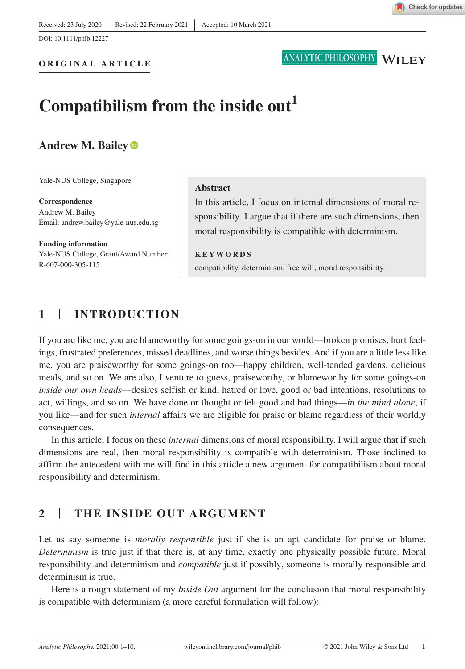

# ANALYTIC PHILOSOPHY WILEY

# Compatibilism from the inside out<sup>1</sup>

## **Andrew M. Bailey**

Yale-NUS College, Singapore

**Correspondence** Andrew M. Bailey Email: [andrew.bailey@yale-nus.edu.sg](mailto:andrew.bailey@yale-nus.edu.sg)

**Funding information** Yale-NUS College, Grant/Award Number: R-607-000-305-115

#### **Abstract**

In this article, I focus on internal dimensions of moral responsibility. I argue that if there are such dimensions, then moral responsibility is compatible with determinism.

**KEYWORDS** compatibility, determinism, free will, moral responsibility

# **1** | **INTRODUCTION**

If you are like me, you are blameworthy for some goings-on in our world—broken promises, hurt feelings, frustrated preferences, missed deadlines, and worse things besides. And if you are a little less like me, you are praiseworthy for some goings-on too—happy children, well-tended gardens, delicious meals, and so on. We are also, I venture to guess, praiseworthy, or blameworthy for some goings-on *inside our own heads*—desires selfish or kind, hatred or love, good or bad intentions, resolutions to act, willings, and so on. We have done or thought or felt good and bad things—*in the mind alone*, if you like—and for such *internal* affairs we are eligible for praise or blame regardless of their worldly consequences.

In this article, I focus on these *internal* dimensions of moral responsibility. I will argue that if such dimensions are real, then moral responsibility is compatible with determinism. Those inclined to affirm the antecedent with me will find in this article a new argument for compatibilism about moral responsibility and determinism.

# **2** | **THE INSIDE OUT ARGUMENT**

Let us say someone is *morally responsible* just if she is an apt candidate for praise or blame. *Determinism* is true just if that there is, at any time, exactly one physically possible future. Moral responsibility and determinism and *compatible* just if possibly, someone is morally responsible and determinism is true.

Here is a rough statement of my *Inside Out* argument for the conclusion that moral responsibility is compatible with determinism (a more careful formulation will follow):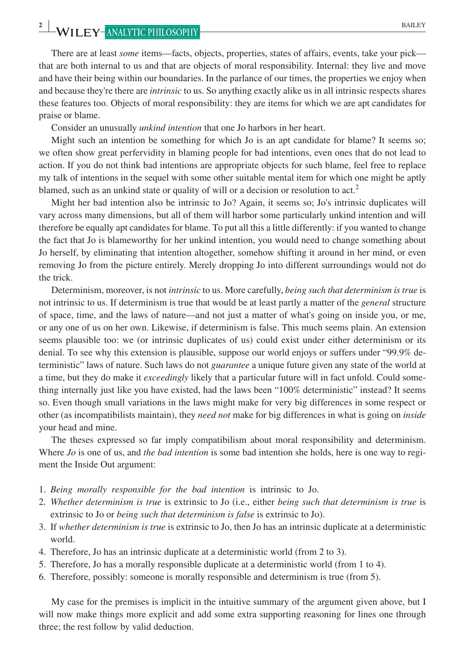There are at least *some* items—facts, objects, properties, states of affairs, events, take your pick that are both internal to us and that are objects of moral responsibility. Internal: they live and move and have their being within our boundaries. In the parlance of our times, the properties we enjoy when and because they're there are *intrinsic* to us. So anything exactly alike us in all intrinsic respects shares these features too. Objects of moral responsibility: they are items for which we are apt candidates for praise or blame.

Consider an unusually *unkind intention* that one Jo harbors in her heart.

Might such an intention be something for which Jo is an apt candidate for blame? It seems so; we often show great perfervidity in blaming people for bad intentions, even ones that do not lead to action. If you do not think bad intentions are appropriate objects for such blame, feel free to replace my talk of intentions in the sequel with some other suitable mental item for which one might be aptly blamed, such as an unkind state or quality of will or a decision or resolution to  $act<sup>2</sup>$ 

Might her bad intention also be intrinsic to Jo? Again, it seems so; Jo's intrinsic duplicates will vary across many dimensions, but all of them will harbor some particularly unkind intention and will therefore be equally apt candidates for blame. To put all this a little differently: if you wanted to change the fact that Jo is blameworthy for her unkind intention, you would need to change something about Jo herself, by eliminating that intention altogether, somehow shifting it around in her mind, or even removing Jo from the picture entirely. Merely dropping Jo into different surroundings would not do the trick.

Determinism, moreover, is not *intrinsic* to us. More carefully, *being such that determinism is true* is not intrinsic to us. If determinism is true that would be at least partly a matter of the *general* structure of space, time, and the laws of nature—and not just a matter of what's going on inside you, or me, or any one of us on her own. Likewise, if determinism is false. This much seems plain. An extension seems plausible too: we (or intrinsic duplicates of us) could exist under either determinism or its denial. To see why this extension is plausible, suppose our world enjoys or suffers under "99.9% deterministic" laws of nature. Such laws do not *guarantee* a unique future given any state of the world at a time, but they do make it *exceedingly* likely that a particular future will in fact unfold. Could something internally just like you have existed, had the laws been "100% deterministic" instead? It seems so. Even though small variations in the laws might make for very big differences in some respect or other (as incompatibilists maintain), they *need not* make for big differences in what is going on *inside* your head and mine.

The theses expressed so far imply compatibilism about moral responsibility and determinism. Where *Jo* is one of us, and *the bad intention* is some bad intention she holds, here is one way to regiment the Inside Out argument:

- 1. *Being morally responsible for the bad intention* is intrinsic to Jo.
- 2. *Whether determinism is true* is extrinsic to Jo (i.e., either *being such that determinism is true* is extrinsic to Jo or *being such that determinism is false* is extrinsic to Jo).
- 3. If *whether determinism is true* is extrinsic to Jo, then Jo has an intrinsic duplicate at a deterministic world.
- 4. Therefore, Jo has an intrinsic duplicate at a deterministic world (from 2 to 3).
- 5. Therefore, Jo has a morally responsible duplicate at a deterministic world (from 1 to 4).
- 6. Therefore, possibly: someone is morally responsible and determinism is true (from 5).

My case for the premises is implicit in the intuitive summary of the argument given above, but I will now make things more explicit and add some extra supporting reasoning for lines one through three; the rest follow by valid deduction.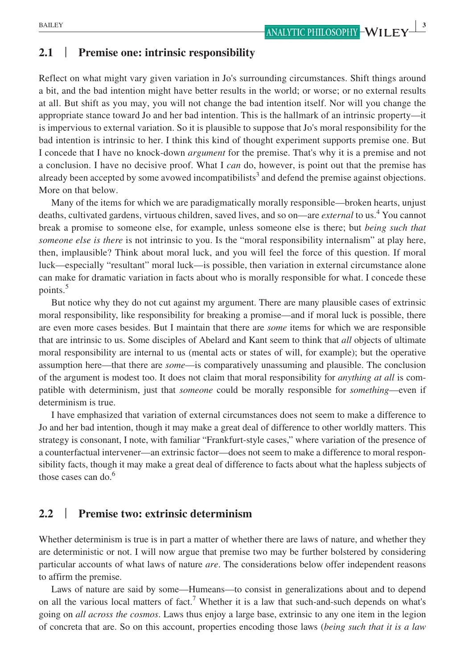## **2.1** | **Premise one: intrinsic responsibility**

Reflect on what might vary given variation in Jo's surrounding circumstances. Shift things around a bit, and the bad intention might have better results in the world; or worse; or no external results at all. But shift as you may, you will not change the bad intention itself. Nor will you change the appropriate stance toward Jo and her bad intention. This is the hallmark of an intrinsic property—it is impervious to external variation. So it is plausible to suppose that Jo's moral responsibility for the bad intention is intrinsic to her. I think this kind of thought experiment supports premise one. But I concede that I have no knock-down *argument* for the premise. That's why it is a premise and not a conclusion. I have no decisive proof. What I *can* do, however, is point out that the premise has already been accepted by some avowed incompatibilists<sup>3</sup> and defend the premise against objections. More on that below.

Many of the items for which we are paradigmatically morally responsible—broken hearts, unjust deaths, cultivated gardens, virtuous children, saved lives, and so on—are *external* to us.<sup>4</sup> You cannot break a promise to someone else, for example, unless someone else is there; but *being such that someone else is there* is not intrinsic to you. Is the "moral responsibility internalism" at play here, then, implausible? Think about moral luck, and you will feel the force of this question. If moral luck—especially "resultant" moral luck—is possible, then variation in external circumstance alone can make for dramatic variation in facts about who is morally responsible for what. I concede these points.<sup>5</sup>

But notice why they do not cut against my argument. There are many plausible cases of extrinsic moral responsibility, like responsibility for breaking a promise—and if moral luck is possible, there are even more cases besides. But I maintain that there are *some* items for which we are responsible that are intrinsic to us. Some disciples of Abelard and Kant seem to think that *all* objects of ultimate moral responsibility are internal to us (mental acts or states of will, for example); but the operative assumption here—that there are *some*—is comparatively unassuming and plausible. The conclusion of the argument is modest too. It does not claim that moral responsibility for *anything at all* is compatible with determinism, just that *someone* could be morally responsible for *something*—even if determinism is true.

I have emphasized that variation of external circumstances does not seem to make a difference to Jo and her bad intention, though it may make a great deal of difference to other worldly matters. This strategy is consonant, I note, with familiar "Frankfurt-style cases," where variation of the presence of a counterfactual intervener—an extrinsic factor—does not seem to make a difference to moral responsibility facts, though it may make a great deal of difference to facts about what the hapless subjects of those cases can do.<sup>6</sup>

## **2.2** | **Premise two: extrinsic determinism**

Whether determinism is true is in part a matter of whether there are laws of nature, and whether they are deterministic or not. I will now argue that premise two may be further bolstered by considering particular accounts of what laws of nature *are*. The considerations below offer independent reasons to affirm the premise.

Laws of nature are said by some—Humeans—to consist in generalizations about and to depend on all the various local matters of fact.<sup>7</sup> Whether it is a law that such-and-such depends on what's going on *all across the cosmos*. Laws thus enjoy a large base, extrinsic to any one item in the legion of concreta that are. So on this account, properties encoding those laws (*being such that it is a law*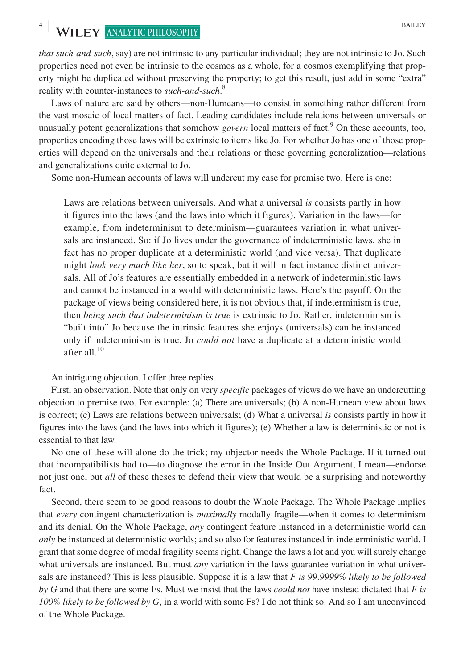*that such*-*and*-*such*, say) are not intrinsic to any particular individual; they are not intrinsic to Jo. Such properties need not even be intrinsic to the cosmos as a whole, for a cosmos exemplifying that property might be duplicated without preserving the property; to get this result, just add in some "extra" reality with counter-instances to *such*-*and*-*such*. 8

Laws of nature are said by others—non-Humeans—to consist in something rather different from the vast mosaic of local matters of fact. Leading candidates include relations between universals or unusually potent generalizations that somehow *govern* local matters of fact.<sup>9</sup> On these accounts, too, properties encoding those laws will be extrinsic to items like Jo. For whether Jo has one of those properties will depend on the universals and their relations or those governing generalization—relations and generalizations quite external to Jo.

Some non-Humean accounts of laws will undercut my case for premise two. Here is one:

Laws are relations between universals. And what a universal *is* consists partly in how it figures into the laws (and the laws into which it figures). Variation in the laws—for example, from indeterminism to determinism—guarantees variation in what universals are instanced. So: if Jo lives under the governance of indeterministic laws, she in fact has no proper duplicate at a deterministic world (and vice versa). That duplicate might *look very much like her*, so to speak, but it will in fact instance distinct universals. All of Jo's features are essentially embedded in a network of indeterministic laws and cannot be instanced in a world with deterministic laws. Here's the payoff. On the package of views being considered here, it is not obvious that, if indeterminism is true, then *being such that indeterminism is true* is extrinsic to Jo. Rather, indeterminism is "built into" Jo because the intrinsic features she enjoys (universals) can be instanced only if indeterminism is true. Jo *could not* have a duplicate at a deterministic world after all  $^{10}$ 

An intriguing objection. I offer three replies.

First, an observation. Note that only on very *specific* packages of views do we have an undercutting objection to premise two. For example: (a) There are universals; (b) A non-Humean view about laws is correct; (c) Laws are relations between universals; (d) What a universal *is* consists partly in how it figures into the laws (and the laws into which it figures); (e) Whether a law is deterministic or not is essential to that law.

No one of these will alone do the trick; my objector needs the Whole Package. If it turned out that incompatibilists had to—to diagnose the error in the Inside Out Argument, I mean—endorse not just one, but *all* of these theses to defend their view that would be a surprising and noteworthy fact.

Second, there seem to be good reasons to doubt the Whole Package. The Whole Package implies that *every* contingent characterization is *maximally* modally fragile—when it comes to determinism and its denial. On the Whole Package, *any* contingent feature instanced in a deterministic world can *only* be instanced at deterministic worlds; and so also for features instanced in indeterministic world. I grant that some degree of modal fragility seems right. Change the laws a lot and you will surely change what universals are instanced. But must *any* variation in the laws guarantee variation in what universals are instanced? This is less plausible. Suppose it is a law that *F is 99*.*9999% likely to be followed by G* and that there are some Fs. Must we insist that the laws *could not* have instead dictated that *F is 100% likely to be followed by G*, in a world with some Fs? I do not think so. And so I am unconvinced of the Whole Package.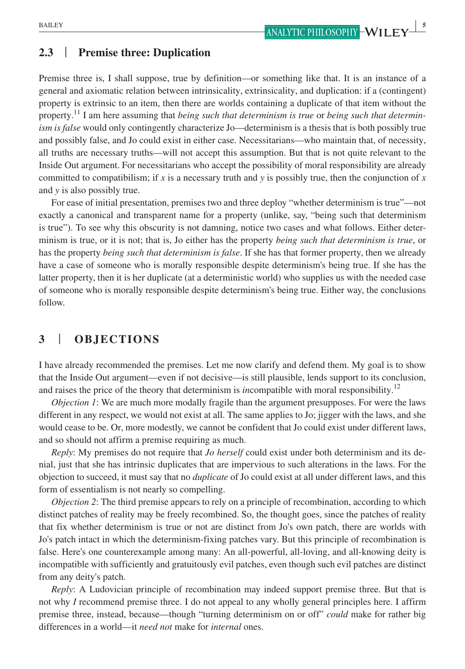## **2.3** | **Premise three: Duplication**

Premise three is, I shall suppose, true by definition—or something like that. It is an instance of a general and axiomatic relation between intrinsicality, extrinsicality, and duplication: if a (contingent) property is extrinsic to an item, then there are worlds containing a duplicate of that item without the property.11 I am here assuming that *being such that determinism is true* or *being such that determinism is false* would only contingently characterize Jo—determinism is a thesis that is both possibly true and possibly false, and Jo could exist in either case. Necessitarians—who maintain that, of necessity, all truths are necessary truths—will not accept this assumption. But that is not quite relevant to the Inside Out argument. For necessitarians who accept the possibility of moral responsibility are already committed to compatibilism; if *x* is a necessary truth and *y* is possibly true, then the conjunction of *x* and *y* is also possibly true.

For ease of initial presentation, premises two and three deploy "whether determinism is true"—not exactly a canonical and transparent name for a property (unlike, say, "being such that determinism is true"). To see why this obscurity is not damning, notice two cases and what follows. Either determinism is true, or it is not; that is, Jo either has the property *being such that determinism is true*, or has the property *being such that determinism is false*. If she has that former property, then we already have a case of someone who is morally responsible despite determinism's being true. If she has the latter property, then it is her duplicate (at a deterministic world) who supplies us with the needed case of someone who is morally responsible despite determinism's being true. Either way, the conclusions follow.

## **3** | **OBJECTIONS**

I have already recommended the premises. Let me now clarify and defend them. My goal is to show that the Inside Out argument—even if not decisive—is still plausible, lends support to its conclusion, and raises the price of the theory that determinism is *in*compatible with moral responsibility.12

*Objection 1*: We are much more modally fragile than the argument presupposes. For were the laws different in any respect, we would not exist at all. The same applies to Jo; jigger with the laws, and she would cease to be. Or, more modestly, we cannot be confident that Jo could exist under different laws, and so should not affirm a premise requiring as much.

*Reply*: My premises do not require that *Jo herself* could exist under both determinism and its denial, just that she has intrinsic duplicates that are impervious to such alterations in the laws. For the objection to succeed, it must say that no *duplicate* of Jo could exist at all under different laws, and this form of essentialism is not nearly so compelling.

*Objection 2*: The third premise appears to rely on a principle of recombination, according to which distinct patches of reality may be freely recombined. So, the thought goes, since the patches of reality that fix whether determinism is true or not are distinct from Jo's own patch, there are worlds with Jo's patch intact in which the determinism-fixing patches vary. But this principle of recombination is false. Here's one counterexample among many: An all-powerful, all-loving, and all-knowing deity is incompatible with sufficiently and gratuitously evil patches, even though such evil patches are distinct from any deity's patch.

*Reply*: A Ludovician principle of recombination may indeed support premise three. But that is not why *I* recommend premise three. I do not appeal to any wholly general principles here. I affirm premise three, instead, because—though "turning determinism on or off" *could* make for rather big differences in a world—it *need not* make for *internal* ones.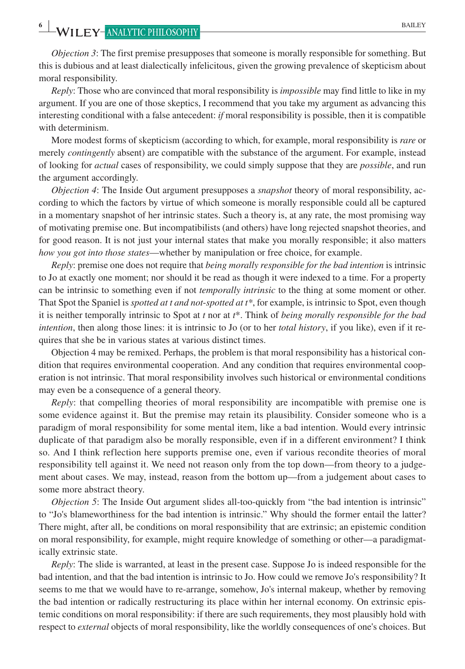*Objection 3*: The first premise presupposes that someone is morally responsible for something. But this is dubious and at least dialectically infelicitous, given the growing prevalence of skepticism about moral responsibility.

*Reply*: Those who are convinced that moral responsibility is *impossible* may find little to like in my argument. If you are one of those skeptics, I recommend that you take my argument as advancing this interesting conditional with a false antecedent: *if* moral responsibility is possible, then it is compatible with determinism.

More modest forms of skepticism (according to which, for example, moral responsibility is *rare* or merely *contingently* absent) are compatible with the substance of the argument. For example, instead of looking for *actual* cases of responsibility, we could simply suppose that they are *possible*, and run the argument accordingly.

*Objection 4*: The Inside Out argument presupposes a *snapshot* theory of moral responsibility, according to which the factors by virtue of which someone is morally responsible could all be captured in a momentary snapshot of her intrinsic states. Such a theory is, at any rate, the most promising way of motivating premise one. But incompatibilists (and others) have long rejected snapshot theories, and for good reason. It is not just your internal states that make you morally responsible; it also matters *how you got into those states*—whether by manipulation or free choice, for example.

*Reply*: premise one does not require that *being morally responsible for the bad intention* is intrinsic to Jo at exactly one moment; nor should it be read as though it were indexed to a time. For a property can be intrinsic to something even if not *temporally intrinsic* to the thing at some moment or other. That Spot the Spaniel is *spotted at t and not*-*spotted at t\**, for example, is intrinsic to Spot, even though it is neither temporally intrinsic to Spot at *t* nor at *t*\*. Think of *being morally responsible for the bad intention*, then along those lines: it is intrinsic to Jo (or to her *total history*, if you like), even if it requires that she be in various states at various distinct times.

Objection 4 may be remixed. Perhaps, the problem is that moral responsibility has a historical condition that requires environmental cooperation. And any condition that requires environmental cooperation is not intrinsic. That moral responsibility involves such historical or environmental conditions may even be a consequence of a general theory.

*Reply:* that compelling theories of moral responsibility are incompatible with premise one is some evidence against it. But the premise may retain its plausibility. Consider someone who is a paradigm of moral responsibility for some mental item, like a bad intention. Would every intrinsic duplicate of that paradigm also be morally responsible, even if in a different environment? I think so. And I think reflection here supports premise one, even if various recondite theories of moral responsibility tell against it. We need not reason only from the top down—from theory to a judgement about cases. We may, instead, reason from the bottom up—from a judgement about cases to some more abstract theory.

*Objection 5*: The Inside Out argument slides all-too-quickly from "the bad intention is intrinsic" to "Jo's blameworthiness for the bad intention is intrinsic." Why should the former entail the latter? There might, after all, be conditions on moral responsibility that are extrinsic; an epistemic condition on moral responsibility, for example, might require knowledge of something or other—a paradigmatically extrinsic state.

*Reply*: The slide is warranted, at least in the present case. Suppose Jo is indeed responsible for the bad intention, and that the bad intention is intrinsic to Jo. How could we remove Jo's responsibility? It seems to me that we would have to re-arrange, somehow, Jo's internal makeup, whether by removing the bad intention or radically restructuring its place within her internal economy. On extrinsic epistemic conditions on moral responsibility: if there are such requirements, they most plausibly hold with respect to *external* objects of moral responsibility, like the worldly consequences of one's choices. But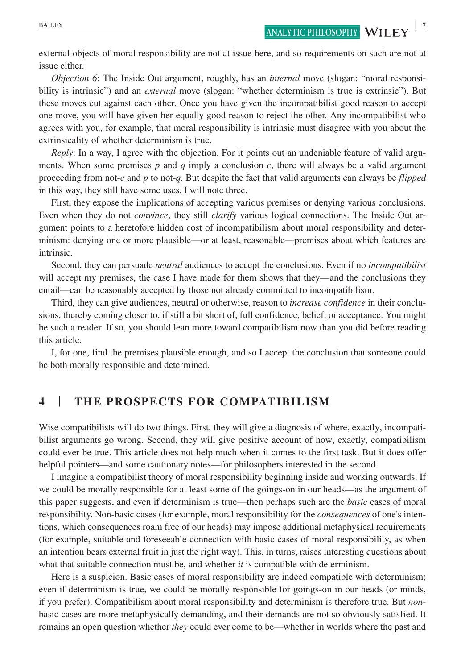**EXECUTE 2** *ANALYTIC PHILOSOPHY* **7** *ANALYTIC PHILOSOPHY* **7** *PHILOSOPHY* 

external objects of moral responsibility are not at issue here, and so requirements on such are not at issue either.

*Objection 6*: The Inside Out argument, roughly, has an *internal* move (slogan: "moral responsibility is intrinsic") and an *external* move (slogan: "whether determinism is true is extrinsic"). But these moves cut against each other. Once you have given the incompatibilist good reason to accept one move, you will have given her equally good reason to reject the other. Any incompatibilist who agrees with you, for example, that moral responsibility is intrinsic must disagree with you about the extrinsicality of whether determinism is true.

*Reply*: In a way, I agree with the objection. For it points out an undeniable feature of valid arguments. When some premises  $p$  and  $q$  imply a conclusion  $c$ , there will always be a valid argument proceeding from not-*c* and *p* to not-*q*. But despite the fact that valid arguments can always be *flipped* in this way, they still have some uses. I will note three.

First, they expose the implications of accepting various premises or denying various conclusions. Even when they do not *convince*, they still *clarify* various logical connections. The Inside Out argument points to a heretofore hidden cost of incompatibilism about moral responsibility and determinism: denying one or more plausible—or at least, reasonable—premises about which features are intrinsic.

Second, they can persuade *neutral* audiences to accept the conclusions. Even if no *incompatibilist* will accept my premises, the case I have made for them shows that they—and the conclusions they entail—can be reasonably accepted by those not already committed to incompatibilism.

Third, they can give audiences, neutral or otherwise, reason to *increase confidence* in their conclusions, thereby coming closer to, if still a bit short of, full confidence, belief, or acceptance. You might be such a reader. If so, you should lean more toward compatibilism now than you did before reading this article.

I, for one, find the premises plausible enough, and so I accept the conclusion that someone could be both morally responsible and determined.

## **4** | **THE PROSPECTS FOR COMPATIBILISM**

Wise compatibilists will do two things. First, they will give a diagnosis of where, exactly, incompatibilist arguments go wrong. Second, they will give positive account of how, exactly, compatibilism could ever be true. This article does not help much when it comes to the first task. But it does offer helpful pointers—and some cautionary notes—for philosophers interested in the second.

I imagine a compatibilist theory of moral responsibility beginning inside and working outwards. If we could be morally responsible for at least some of the goings-on in our heads—as the argument of this paper suggests, and even if determinism is true—then perhaps such are the *basic* cases of moral responsibility. Non-basic cases (for example, moral responsibility for the *consequences* of one's intentions, which consequences roam free of our heads) may impose additional metaphysical requirements (for example, suitable and foreseeable connection with basic cases of moral responsibility, as when an intention bears external fruit in just the right way). This, in turns, raises interesting questions about what that suitable connection must be, and whether *it* is compatible with determinism.

Here is a suspicion. Basic cases of moral responsibility are indeed compatible with determinism; even if determinism is true, we could be morally responsible for goings-on in our heads (or minds, if you prefer). Compatibilism about moral responsibility and determinism is therefore true. But *non*basic cases are more metaphysically demanding, and their demands are not so obviously satisfied. It remains an open question whether *they* could ever come to be—whether in worlds where the past and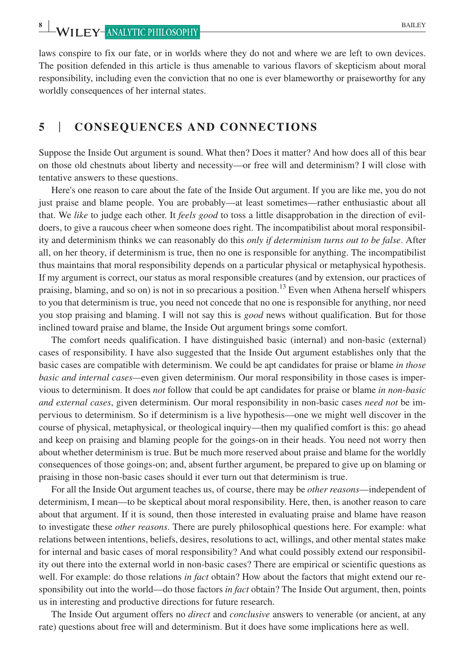laws conspire to fix our fate, or in worlds where they do not and where we are left to own devices. The position defended in this article is thus amenable to various flavors of skepticism about moral responsibility, including even the conviction that no one is ever blameworthy or praiseworthy for any worldly consequences of her internal states.

## **5** | **CONSEQUENCES AND CONNECTIONS**

Suppose the Inside Out argument is sound. What then? Does it matter? And how does all of this bear on those old chestnuts about liberty and necessity—or free will and determinism? I will close with tentative answers to these questions.

Here's one reason to care about the fate of the Inside Out argument. If you are like me, you do not just praise and blame people. You are probably—at least sometimes—rather enthusiastic about all that. We *like* to judge each other. It *feels good* to toss a little disapprobation in the direction of evildoers, to give a raucous cheer when someone does right. The incompatibilist about moral responsibility and determinism thinks we can reasonably do this *only if determinism turns out to be false*. After all, on her theory, if determinism is true, then no one is responsible for anything. The incompatibilist thus maintains that moral responsibility depends on a particular physical or metaphysical hypothesis. If my argument is correct, our status as moral responsible creatures (and by extension, our practices of praising, blaming, and so on) is not in so precarious a position.<sup>13</sup> Even when Athena herself whispers to you that determinism is true, you need not concede that no one is responsible for anything, nor need you stop praising and blaming. I will not say this is *good* news without qualification. But for those inclined toward praise and blame, the Inside Out argument brings some comfort.

The comfort needs qualification. I have distinguished basic (internal) and non-basic (external) cases of responsibility. I have also suggested that the Inside Out argument establishes only that the basic cases are compatible with determinism. We could be apt candidates for praise or blame *in those basic and internal cases*—even given determinism. Our moral responsibility in those cases is impervious to determinism. It does *not* follow that could be apt candidates for praise or blame *in non*-*basic and external cases*, given determinism. Our moral responsibility in non-basic cases *need not* be impervious to determinism. So if determinism is a live hypothesis—one we might well discover in the course of physical, metaphysical, or theological inquiry—then my qualified comfort is this: go ahead and keep on praising and blaming people for the goings-on in their heads. You need not worry then about whether determinism is true. But be much more reserved about praise and blame for the worldly consequences of those goings-on; and, absent further argument, be prepared to give up on blaming or praising in those non-basic cases should it ever turn out that determinism is true.

For all the Inside Out argument teaches us, of course, there may be *other reasons*—independent of determinism, I mean—to be skeptical about moral responsibility. Here, then, is another reason to care about that argument. If it is sound, then those interested in evaluating praise and blame have reason to investigate these *other reasons*. There are purely philosophical questions here. For example: what relations between intentions, beliefs, desires, resolutions to act, willings, and other mental states make for internal and basic cases of moral responsibility? And what could possibly extend our responsibility out there into the external world in non-basic cases? There are empirical or scientific questions as well. For example: do those relations *in fact* obtain? How about the factors that might extend our responsibility out into the world—do those factors *in fact* obtain? The Inside Out argument, then, points us in interesting and productive directions for future research.

The Inside Out argument offers no *direct* and *conclusive* answers to venerable (or ancient, at any rate) questions about free will and determinism. But it does have some implications here as well.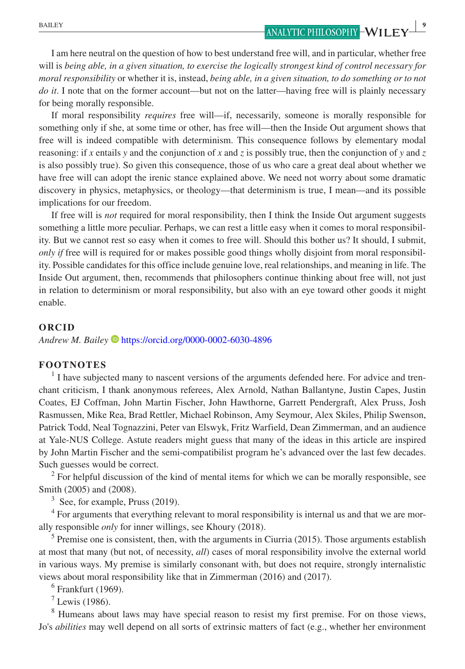I am here neutral on the question of how to best understand free will, and in particular, whether free will is *being able, in a given situation, to exercise the logically strongest kind of control necessary for moral responsibility* or whether it is, instead, *being able, in a given situation, to do something or to not do it*. I note that on the former account—but not on the latter—having free will is plainly necessary for being morally responsible.

If moral responsibility *requires* free will—if, necessarily, someone is morally responsible for something only if she, at some time or other, has free will—then the Inside Out argument shows that free will is indeed compatible with determinism. This consequence follows by elementary modal reasoning: if *x* entails *y* and the conjunction of *x* and *z* is possibly true, then the conjunction of *y* and *z* is also possibly true). So given this consequence, those of us who care a great deal about whether we have free will can adopt the irenic stance explained above. We need not worry about some dramatic discovery in physics, metaphysics, or theology—that determinism is true, I mean—and its possible implications for our freedom.

If free will is *not* required for moral responsibility, then I think the Inside Out argument suggests something a little more peculiar. Perhaps, we can rest a little easy when it comes to moral responsibility. But we cannot rest so easy when it comes to free will. Should this bother us? It should, I submit, *only if* free will is required for or makes possible good things wholly disjoint from moral responsibility. Possible candidates for this office include genuine love, real relationships, and meaning in life. The Inside Out argument, then, recommends that philosophers continue thinking about free will, not just in relation to determinism or moral responsibility, but also with an eye toward other goods it might enable.

#### **ORCID**

*Andrew M. Bailey* <https://orcid.org/0000-0002-6030-4896>

#### **FOOTNOTES**

<sup>1</sup> I have subjected many to nascent versions of the arguments defended here. For advice and trenchant criticism, I thank anonymous referees, Alex Arnold, Nathan Ballantyne, Justin Capes, Justin Coates, EJ Coffman, John Martin Fischer, John Hawthorne, Garrett Pendergraft, Alex Pruss, Josh Rasmussen, Mike Rea, Brad Rettler, Michael Robinson, Amy Seymour, Alex Skiles, Philip Swenson, Patrick Todd, Neal Tognazzini, Peter van Elswyk, Fritz Warfield, Dean Zimmerman, and an audience at Yale-NUS College. Astute readers might guess that many of the ideas in this article are inspired by John Martin Fischer and the semi-compatibilist program he's advanced over the last few decades. Such guesses would be correct.

 $2^2$  For helpful discussion of the kind of mental items for which we can be morally responsible, see Smith (2005) and (2008).

 $3$  See, for example, Pruss (2019).

<sup>4</sup> For arguments that everything relevant to moral responsibility is internal us and that we are morally responsible *only* for inner willings, see Khoury (2018).

 $<sup>5</sup>$  Premise one is consistent, then, with the arguments in Ciurria (2015). Those arguments establish</sup> at most that many (but not, of necessity, *all*) cases of moral responsibility involve the external world in various ways. My premise is similarly consonant with, but does not require, strongly internalistic views about moral responsibility like that in Zimmerman (2016) and (2017).

6 Frankfurt (1969).

 $<sup>7</sup>$  Lewis (1986).</sup>

<sup>8</sup> Humeans about laws may have special reason to resist my first premise. For on those views, Jo's *abilities* may well depend on all sorts of extrinsic matters of fact (e.g., whether her environment